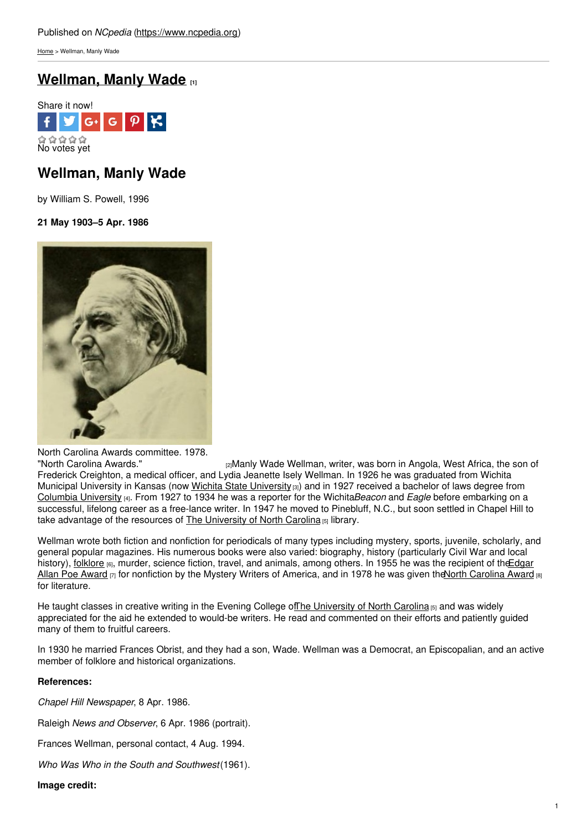[Home](https://www.ncpedia.org/) > Wellman, Manly Wade

# **[Wellman,](https://www.ncpedia.org/biography/wellman-manly-wade) Manly Wade [1]**



# **Wellman, Manly Wade**

by William S. Powell, 1996

### **21 May 1903–5 Apr. 1986**



North Carolina Awards committee. 1978.<br>"North Carolina Awards."

[2]Manly Wade Wellman, writer, was born in Angola, West Africa, the son of Frederick Creighton, a medical officer, and Lydia Jeanette Isely Wellman. In 1926 he was graduated from Wichita Municipal [University](http://www.wichita.edu/) in Kansas (now Wichita State University [3]) and in 1927 received a bachelor of laws degree from Columbia [University](http://www.columbia.edu/) [4]. From 1927 to 1934 he was a reporter for the Wichita*Beacon* and *Eagle* before embarking on a successful, lifelong career as a free-lance writer. In 1947 he moved to Pinebluff, N.C., but soon settled in Chapel Hill to take advantage of the resources of The [University](https://www.ncpedia.org/university-north-carolina-chapel-hi) of North Carolina [5] library.

Wellman wrote both fiction and nonfiction for periodicals of many types including mystery, sports, juvenile, scholarly, and general popular magazines. His numerous books were also varied: biography, history (particularly Civil War and local history), [folklore](https://www.ncpedia.org/folklore) [6], murder, science fiction, travel, and animals, among others. In 1955 he was the recipient of the Edgar Allan Poe Award  $\sigma$  for [nonfiction](http://www.theedgars.com/) by the Mystery Writers of America, and in 1978 he was given the North [Carolina](https://www.ncpedia.org/north-carolina-awards) Award  $\sigma$ for literature.

He taught classes in creative writing in the Evening College of The [University](https://www.ncpedia.org/university-north-carolina-chapel-hi) of North Carolina  $55$  and was widely appreciated for the aid he extended to would-be writers. He read and commented on their efforts and patiently guided many of them to fruitful careers.

In 1930 he married Frances Obrist, and they had a son, Wade. Wellman was a Democrat, an Episcopalian, and an active member of folklore and historical organizations.

### **References:**

*Chapel Hill Newspaper*, 8 Apr. 1986.

Raleigh *News and Observer*, 6 Apr. 1986 (portrait).

Frances Wellman, personal contact, 4 Aug. 1994.

*Who Was Who in the South and Southwest*(1961).

**Image credit:**